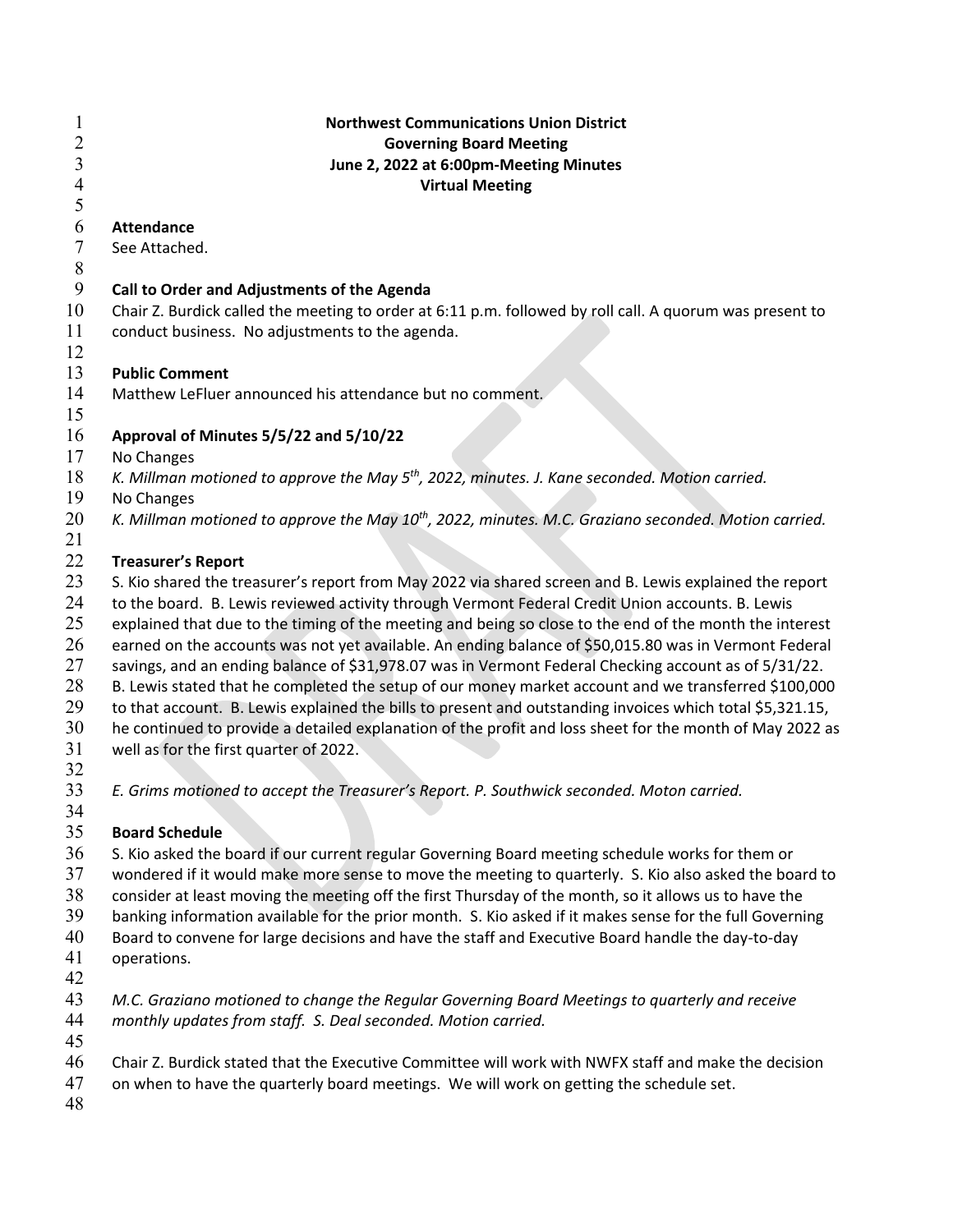| $\mathbf{1}$   | <b>Northwest Communications Union District</b>                                                            |
|----------------|-----------------------------------------------------------------------------------------------------------|
| $\overline{2}$ | <b>Governing Board Meeting</b>                                                                            |
| $\mathfrak{Z}$ | June 2, 2022 at 6:00pm-Meeting Minutes                                                                    |
| $\overline{4}$ | <b>Virtual Meeting</b>                                                                                    |
| 5              |                                                                                                           |
| 6              | <b>Attendance</b>                                                                                         |
| 7              | See Attached.                                                                                             |
| 8              |                                                                                                           |
| 9              | Call to Order and Adjustments of the Agenda                                                               |
| 10             | Chair Z. Burdick called the meeting to order at 6:11 p.m. followed by roll call. A quorum was present to  |
| 11             | conduct business. No adjustments to the agenda.                                                           |
| 12             |                                                                                                           |
| 13             | <b>Public Comment</b>                                                                                     |
| 14             | Matthew LeFluer announced his attendance but no comment.                                                  |
| 15             |                                                                                                           |
| 16             | Approval of Minutes 5/5/22 and 5/10/22                                                                    |
| 17             | No Changes                                                                                                |
| 18             | K. Millman motioned to approve the May $5th$ , 2022, minutes. J. Kane seconded. Motion carried.           |
| 19             | No Changes                                                                                                |
| 20             | K. Millman motioned to approve the May $10^{th}$ , 2022, minutes. M.C. Graziano seconded. Motion carried. |
| 21             |                                                                                                           |
| 22             | <b>Treasurer's Report</b>                                                                                 |
| 23             | S. Kio shared the treasurer's report from May 2022 via shared screen and B. Lewis explained the report    |
| 24             | to the board. B. Lewis reviewed activity through Vermont Federal Credit Union accounts. B. Lewis          |
| 25             | explained that due to the timing of the meeting and being so close to the end of the month the interest   |
| 26             | earned on the accounts was not yet available. An ending balance of \$50,015.80 was in Vermont Federal     |
| 27             | savings, and an ending balance of \$31,978.07 was in Vermont Federal Checking account as of 5/31/22.      |
| 28             | B. Lewis stated that he completed the setup of our money market account and we transferred \$100,000      |
| 29             | to that account. B. Lewis explained the bills to present and outstanding invoices which total \$5,321.15, |
| 30             | he continued to provide a detailed explanation of the profit and loss sheet for the month of May 2022 as  |
| 31             | well as for the first quarter of 2022.                                                                    |
| 32             |                                                                                                           |
| 33             | E. Grims motioned to accept the Treasurer's Report. P. Southwick seconded. Moton carried.                 |
| 34             |                                                                                                           |
| 35             | <b>Board Schedule</b>                                                                                     |
| 36             | S. Kio asked the board if our current regular Governing Board meeting schedule works for them or          |
| 37             | wondered if it would make more sense to move the meeting to quarterly. S. Kio also asked the board to     |
| 38             | consider at least moving the meeting off the first Thursday of the month, so it allows us to have the     |
| 39             | banking information available for the prior month. S. Kio asked if it makes sense for the full Governing  |
| 40             | Board to convene for large decisions and have the staff and Executive Board handle the day-to-day         |
| 41             | operations.                                                                                               |
| 42             |                                                                                                           |
| 43             | M.C. Graziano motioned to change the Regular Governing Board Meetings to quarterly and receive            |
| 44             | monthly updates from staff. S. Deal seconded. Motion carried.                                             |
| 45             |                                                                                                           |
| 46             | Chair Z. Burdick stated that the Executive Committee will work with NWFX staff and make the decision      |
| 47             | on when to have the quarterly board meetings. We will work on getting the schedule set.                   |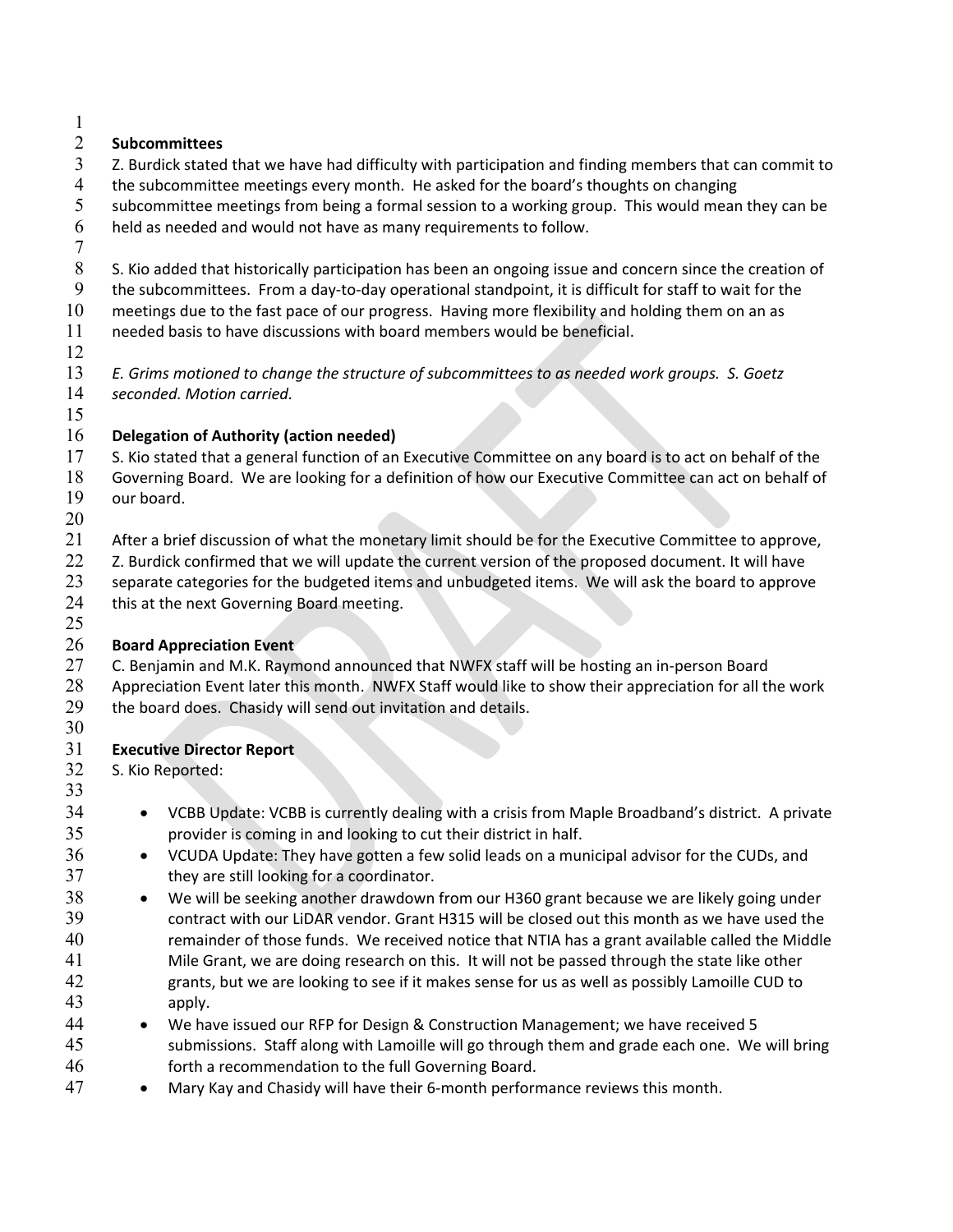### **Subcommittees**

- Z. Burdick stated that we have had difficulty with participation and finding members that can commit to
- the subcommittee meetings every month. He asked for the board's thoughts on changing
- 5 subcommittee meetings from being a formal session to a working group. This would mean they can be held as needed and would not have as many requirements to follow.
- 
- 8 S. Kio added that historically participation has been an ongoing issue and concern since the creation of
- the subcommittees. From a day-to-day operational standpoint, it is difficult for staff to wait for the
- meetings due to the fast pace of our progress. Having more flexibility and holding them on an as needed basis to have discussions with board members would be beneficial.
- 
- *E. Grims motioned to change the structure of subcommittees to as needed work groups. S. Goetz seconded. Motion carried.*
- 

## **Delegation of Authority (action needed)**

- S. Kio stated that a general function of an Executive Committee on any board is to act on behalf of the
- Governing Board. We are looking for a definition of how our Executive Committee can act on behalf of our board.
- 
- After a brief discussion of what the monetary limit should be for the Executive Committee to approve,
- 22 Z. Burdick confirmed that we will update the current version of the proposed document. It will have
- separate categories for the budgeted items and unbudgeted items. We will ask the board to approve 24 this at the next Governing Board meeting.
- 

### **Board Appreciation Event**

- 27 C. Benjamin and M.K. Raymond announced that NWFX staff will be hosting an in-person Board Appreciation Event later this month. NWFX Staff would like to show their appreciation for all the work
- the board does. Chasidy will send out invitation and details.
- 

# **Executive Director Report**

 S. Kio Reported: 

- 34 VCBB Update: VCBB is currently dealing with a crisis from Maple Broadband's district. A private provider is coming in and looking to cut their district in half.
- 36 VCUDA Update: They have gotten a few solid leads on a municipal advisor for the CUDs, and 37 they are still looking for a coordinator.
- We will be seeking another drawdown from our H360 grant because we are likely going under contract with our LiDAR vendor. Grant H315 will be closed out this month as we have used the remainder of those funds. We received notice that NTIA has a grant available called the Middle Mile Grant, we are doing research on this. It will not be passed through the state like other grants, but we are looking to see if it makes sense for us as well as possibly Lamoille CUD to apply.
- We have issued our RFP for Design & Construction Management; we have received 5 submissions. Staff along with Lamoille will go through them and grade each one. We will bring forth a recommendation to the full Governing Board.
- Mary Kay and Chasidy will have their 6-month performance reviews this month.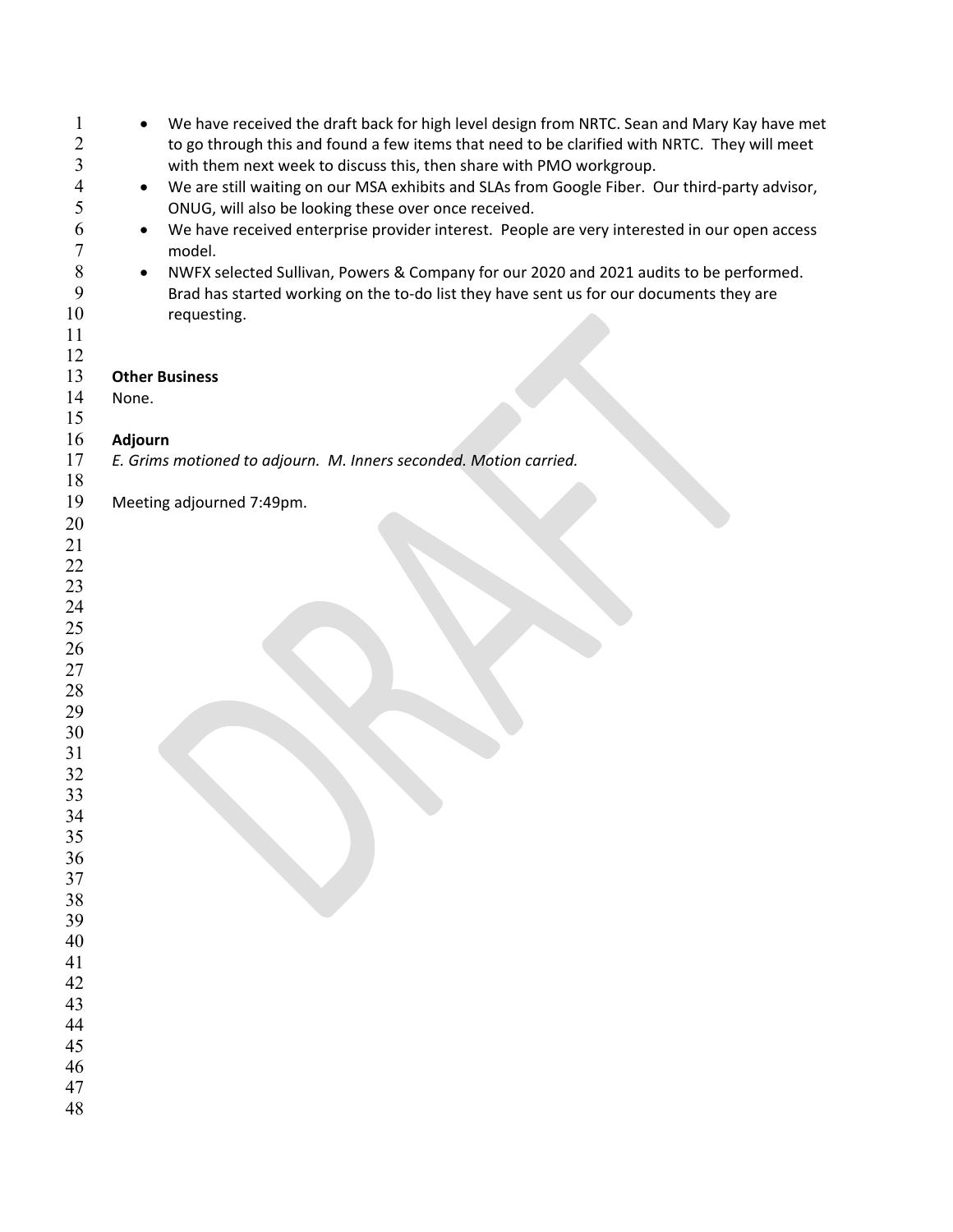| $\mathbf 1$<br>2<br>3 | We have received the draft back for high level design from NRTC. Sean and Mary Kay have met<br>to go through this and found a few items that need to be clarified with NRTC. They will meet<br>with them next week to discuss this, then share with PMO workgroup. |
|-----------------------|--------------------------------------------------------------------------------------------------------------------------------------------------------------------------------------------------------------------------------------------------------------------|
| 4                     | We are still waiting on our MSA exhibits and SLAs from Google Fiber. Our third-party advisor,<br>٠                                                                                                                                                                 |
| 5                     | ONUG, will also be looking these over once received.                                                                                                                                                                                                               |
| 6                     | We have received enterprise provider interest. People are very interested in our open access                                                                                                                                                                       |
| 7                     | model.                                                                                                                                                                                                                                                             |
| $\,8\,$               | NWFX selected Sullivan, Powers & Company for our 2020 and 2021 audits to be performed.                                                                                                                                                                             |
| 9                     | Brad has started working on the to-do list they have sent us for our documents they are                                                                                                                                                                            |
| 10                    | requesting.                                                                                                                                                                                                                                                        |
| 11                    |                                                                                                                                                                                                                                                                    |
| 12                    |                                                                                                                                                                                                                                                                    |
| 13                    | <b>Other Business</b>                                                                                                                                                                                                                                              |
| 14                    | None.                                                                                                                                                                                                                                                              |
| 15                    |                                                                                                                                                                                                                                                                    |
| 16                    | Adjourn                                                                                                                                                                                                                                                            |
| 17                    | E. Grims motioned to adjourn. M. Inners seconded. Motion carried.                                                                                                                                                                                                  |
| 18                    |                                                                                                                                                                                                                                                                    |
| 19                    | Meeting adjourned 7:49pm.                                                                                                                                                                                                                                          |
| 20                    |                                                                                                                                                                                                                                                                    |
| 21                    |                                                                                                                                                                                                                                                                    |
| 22<br>23              |                                                                                                                                                                                                                                                                    |
| 24                    |                                                                                                                                                                                                                                                                    |
| 25                    |                                                                                                                                                                                                                                                                    |
| 26                    |                                                                                                                                                                                                                                                                    |
| 27                    |                                                                                                                                                                                                                                                                    |
| 28                    |                                                                                                                                                                                                                                                                    |
| 29                    |                                                                                                                                                                                                                                                                    |
| 30                    |                                                                                                                                                                                                                                                                    |
| 31                    |                                                                                                                                                                                                                                                                    |
| 32                    |                                                                                                                                                                                                                                                                    |
| 33                    |                                                                                                                                                                                                                                                                    |
| 34                    |                                                                                                                                                                                                                                                                    |
| 35                    |                                                                                                                                                                                                                                                                    |
| 36                    |                                                                                                                                                                                                                                                                    |
| 37                    |                                                                                                                                                                                                                                                                    |
| 38<br>39              |                                                                                                                                                                                                                                                                    |
| 40                    |                                                                                                                                                                                                                                                                    |
| 41                    |                                                                                                                                                                                                                                                                    |
| 42                    |                                                                                                                                                                                                                                                                    |
| 43                    |                                                                                                                                                                                                                                                                    |
| 44                    |                                                                                                                                                                                                                                                                    |
| 45                    |                                                                                                                                                                                                                                                                    |
| 46                    |                                                                                                                                                                                                                                                                    |
| 47                    |                                                                                                                                                                                                                                                                    |
| 48                    |                                                                                                                                                                                                                                                                    |